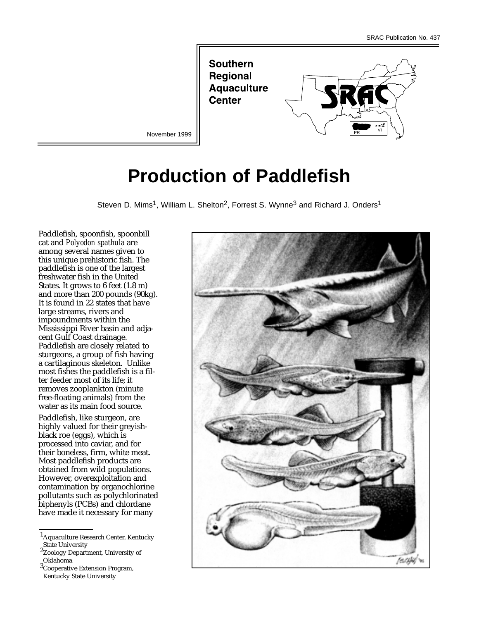**Southern Regional Aquaculture Center** 



November 1999

# **Production of Paddlefish**

Steven D. Mims<sup>1</sup>, William L. Shelton<sup>2</sup>, Forrest S. Wynne<sup>3</sup> and Richard J. Onders<sup>1</sup>

Paddlefish, spoonfish, spoonbill cat and *Polyodon spathula* are among several names given to this unique prehistoric fish. The paddlefish is one of the largest freshwater fish in the United States. It grows to 6 feet (1.8 m) and more than 200 pounds (90kg). It is found in 22 states that have large streams, rivers and impoundments within the Mississippi River basin and adjacent Gulf Coast drainage. Paddlefish are closely related to sturgeons, a group of fish having a cartilaginous skeleton. Unlike most fishes the paddlefish is a filter feeder most of its life; it removes zooplankton (minute free-floating animals) from the water as its main food source.

Paddlefish, like sturgeon, are highly valued for their greyishblack roe (eggs), which is processed into caviar, and for their boneless, firm, white meat. Most paddlefish products are obtained from wild populations. However, overexploitation and contamination by organochlorine pollutants such as polychlorinated biphenyls (PCBs) and chlordane have made it necessary for many

1Aquaculture Research Center, Kentucky State University



<sup>2</sup>Zoology Department, University of Oklahoma

<sup>3</sup>Cooperative Extension Program, Kentucky State University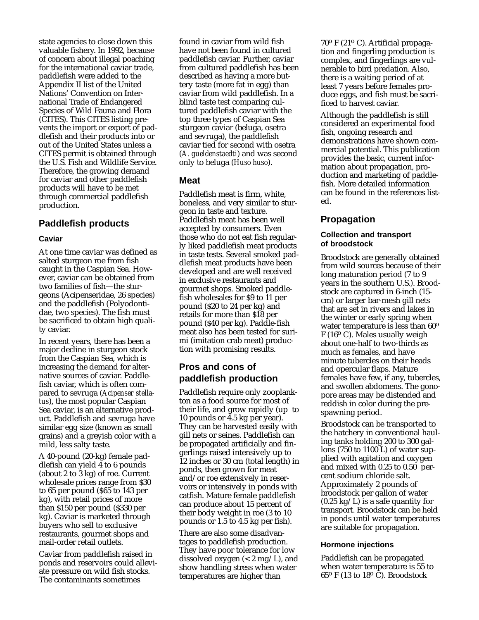state agencies to close down this valuable fishery. In 1992, because of concern about illegal poaching for the international caviar trade, paddlefish were added to the Appendix II list of the United Nations' Convention on International Trade of Endangered Species of Wild Fauna and Flora (CITES). This CITES listing prevents the import or export of paddlefish and their products into or out of the United States unless a CITES permit is obtained through the U.S. Fish and Wildlife Service. Therefore, the growing demand for caviar and other paddlefish products will have to be met through commercial paddlefish production.

## **Paddlefish products**

#### **Caviar**

At one time caviar was defined as salted sturgeon roe from fish caught in the Caspian Sea. However, caviar can be obtained from two families of fish—the sturgeons (Acipenseridae, 26 species) and the paddlefish (Polyodontidae, two species). The fish must be sacrificed to obtain high quality caviar.

In recent years, there has been a major decline in sturgeon stock from the Caspian Sea, which is increasing the demand for alternative sources of caviar. Paddlefish caviar, which is often compared to sevruga (*Acipenser stellatus*), the most popular Caspian Sea caviar, is an alternative product. Paddlefish and sevruga have similar egg size (known as small grains) and a greyish color with a mild, less salty taste.

A 40-pound (20-kg) female paddlefish can yield  $\overline{4}$  to 6 pounds (about 2 to 3 kg) of roe. Current wholesale prices range from \$30 to 65 per pound (\$65 to 143 per kg), with retail prices of more than \$150 per pound (\$330 per kg). Caviar is marketed through buyers who sell to exclusive restaurants, gourmet shops and mail-order retail outlets.

Caviar from paddlefish raised in ponds and reservoirs could alleviate pressure on wild fish stocks. The contaminants sometimes

found in caviar from wild fish have not been found in cultured paddlefish caviar. Further, caviar from cultured paddlefish has been described as having a more buttery taste (more fat in egg) than caviar from wild paddlefish. In a blind taste test comparing cultured paddlefish caviar with the top three types of Caspian Sea sturgeon caviar (beluga, osetra and sevruga), the paddlefish caviar tied for second with osetra (*A. gueldenstaedti*) and was second only to beluga (*Huso huso*).

## **Meat**

Paddlefish meat is firm, white, boneless, and very similar to sturgeon in taste and texture. Paddlefish meat has been well accepted by consumers. Even those who do not eat fish regularly liked paddlefish meat products in taste tests. Several smoked paddlefish meat products have been developed and are well received in exclusive restaurants and gourmet shops. Smoked paddlefish wholesales for \$9 to 11 per pound (\$20 to 24 per kg) and retails for more than \$18 per pound (\$40 per kg). Paddle-fish meat also has been tested for surimi (imitation crab meat) production with promising results.

# **Pros and cons of paddlefish production**

Paddlefish require only zooplankton as a food source for most of their life, and grow rapidly (up to 10 pounds or 4.5 kg per year). They can be harvested easily with gill nets or seines. Paddlefish can be propagated artificially and fingerlings raised intensively up to 12 inches or 30 cm (total length) in ponds, then grown for meat and/or roe extensively in reservoirs or intensively in ponds with catfish. Mature female paddlefish can produce about 15 percent of their body weight in roe (3 to 10 pounds or 1.5 to 4.5 kg per fish).

There are also some disadvantages to paddlefish production. They have poor tolerance for low dissolved oxygen (< 2 mg/L), and show handling stress when water temperatures are higher than

70o F (21<sup>o</sup> C). Artificial propagation and fingerling production is complex, and fingerlings are vulnerable to bird predation. Also, there is a waiting period of at least 7 years before females produce eggs, and fish must be sacrificed to harvest caviar.

Although the paddlefish is still considered an experimental food fish, ongoing research and demonstrations have shown commercial potential. This publication provides the basic, current information about propagation, production and marketing of paddlefish. More detailed information can be found in the references listed.

## **Propagation**

#### **Collection and transport of broodstock**

Broodstock are generally obtained from wild sources because of their long maturation period (7 to 9 years in the southern U.S.). Broodstock are captured in 6-inch (15 cm) or larger bar-mesh gill nets that are set in rivers and lakes in the winter or early spring when water temperature is less than 60o  $F(16^{\circ} \text{ C})$ . Males usually weigh about one-half to two-thirds as much as females, and have minute tubercles on their heads and opercular flaps. Mature females have few, if any, tubercles, and swollen abdomens. The gonopore areas may be distended and reddish in color during the prespawning period.

Broodstock can be transported to the hatchery in conventional hauling tanks holding 200 to 300 gallons (750 to 1100 L) of water supplied with agitation and oxygen and mixed with 0.25 to 0.50 percent sodium chloride salt. Approximately 2 pounds of broodstock per gallon of water  $(0.25 \text{ kg/L})$  is a safe quantity for transport. Broodstock can be held in ponds until water temperatures are suitable for propagation.

#### **Hormone injections**

Paddlefish can be propagated when water temperature is 55 to  $65^{\circ}$  F (13 to 18 $^{\circ}$  C). Broodstock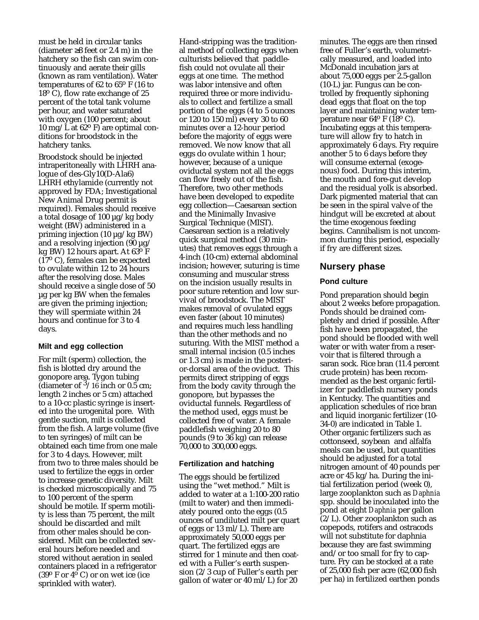must be held in circular tanks (diameter ≥8 feet or 2.4 m) in the hatchery so the fish can swim continuously and aerate their gills (known as ram ventilation). Water temperatures of 62 to 65 $\rm o$  F (16 to  $18^{\circ}$  C), flow rate exchange of 25 percent of the total tank volume per hour, and water saturated with oxygen (100 percent; about 10 mg/L at  $62^{\circ}$  F) are optimal conditions for broodstock in the hatchery tanks.

Broodstock should be injected intraperitoneally with LHRH analogue of des-Gly10(D-Ala6) LHRH ethylamide (currently not approved by FDA; Investigational New Animal Drug permit is required). Females should receive a total dosage of 100 µg/kg body weight (BW) administered in a priming injection  $(10 \mu g/kg BW)$ and a resolving injection  $(90 \mu g)$ kg BW) 12 hours apart. At 63<sup>o</sup> F  $(17<sup>o</sup> C)$ , females can be expected to ovulate within 12 to 24 hours after the resolving dose. Males should receive a single dose of 50 µg per kg BW when the females are given the priming injection; they will spermiate within 24 hours and continue for 3 to 4 days.

#### **Milt and egg collection**

For milt (sperm) collection, the fish is blotted dry around the gonopore area. Tygon tubing (diameter of  $3/16$  inch or 0.5 cm; length 2 inches or 5 cm) attached to a 10-cc plastic syringe is inserted into the urogenital pore. With gentle suction, milt is collected from the fish. A large volume (five to ten syringes) of milt can be obtained each time from one male for 3 to 4 days. However, milt from two to three males should be used to fertilize the eggs in order to increase genetic diversity. Milt is checked microscopically and 75 to 100 percent of the sperm should be motile. If sperm motility is less than 75 percent, the milt should be discarded and milt from other males should be considered. Milt can be collected several hours before needed and stored without aeration in sealed containers placed in a refrigerator  $(39^{\circ}$  F or  $4^{\circ}$  C) or on wet ice (ice sprinkled with water).

Hand-stripping was the traditional method of collecting eggs when culturists believed that paddlefish could not ovulate all their eggs at one time. The method was labor intensive and often required three or more individuals to collect and fertilize a small portion of the eggs (4 to 5 ounces or 120 to 150 ml) every 30 to 60 minutes over a 12-hour period before the majority of eggs were removed. We now know that all eggs do ovulate within 1 hour; however, because of a unique oviductal system not all the eggs can flow freely out of the fish. Therefore, two other methods have been developed to expedite egg collection—Caesarean section and the Minimally Invasive Surgical Technique (MIST). Caesarean section is a relatively quick surgical method (30 minutes) that removes eggs through a 4-inch (10-cm) external abdominal incision; however, suturing is time consuming and muscular stress on the incision usually results in poor suture retention and low survival of broodstock. The MIST makes removal of ovulated eggs even faster (about 10 minutes) and requires much less handling than the other methods and no suturing. With the MIST method a small internal incision (0.5 inches or 1.3 cm) is made in the posterior-dorsal area of the oviduct. This permits direct stripping of eggs from the body cavity through the gonopore, but bypasses the oviductal funnels. Regardless of the method used, eggs must be collected free of water. A female paddlefish weighing 20 to 80 pounds (9 to 36 kg) can release 70,000 to 300,000 eggs.

#### **Fertilization and hatching**

The eggs should be fertilized using the "wet method." Milt is added to water at a 1:100-200 ratio (milt to water) and then immediately poured onto the eggs (0.5 ounces of undiluted milt per quart of eggs or 13 ml/L). There are approximately 50,000 eggs per quart. The fertilized eggs are stirred for 1 minute and then coated with a Fuller's earth suspension (2/3 cup of Fuller's earth per gallon of water or 40 ml/L) for 20

minutes. The eggs are then rinsed free of Fuller's earth, volumetrically measured, and loaded into McDonald incubation jars at about 75,000 eggs per 2.5-gallon (10-L) jar. Fungus can be controlled by frequently siphoning dead eggs that float on the top layer and maintaining water temperature near 64o F (18<sup>o</sup> C). Incubating eggs at this temperature will allow fry to hatch in approximately 6 days. Fry require another 5 to 6 days before they will consume external (exogenous) food. During this interim, the mouth and fore-gut develop and the residual yolk is absorbed. Dark pigmented material that can be seen in the spiral valve of the hindgut will be excreted at about the time exogenous feeding begins. Cannibalism is not uncommon during this period, especially if fry are different sizes.

#### **Nursery phase**

#### **Pond culture**

Pond preparation should begin about 2 weeks before propagation. Ponds should be drained completely and dried if possible. After fish have been propagated, the pond should be flooded with well water or with water from a reservoir that is filtered through a saran sock. Rice bran (11.4 percent crude protein) has been recommended as the best organic fertilizer for paddlefish nursery ponds in Kentucky. The quantities and application schedules of rice bran and liquid inorganic fertilizer (10- 34-0) are indicated in Table 1. Other organic fertilizers such as cottonseed, soybean and alfalfa meals can be used, but quantities should be adjusted for a total nitrogen amount of 40 pounds per acre or 45 kg/ha. During the initial fertilization period (week 0), large zooplankton such as *Daphnia* spp. should be inoculated into the pond at eight *Daphnia* per gallon  $(2/L)$ . Other zooplankton such as copepods, rotifers and ostracods will not substitute for daphnia because they are fast swimming and/or too small for fry to capture. Fry can be stocked at a rate of 25,000 fish per acre (62,000 fish per ha) in fertilized earthen ponds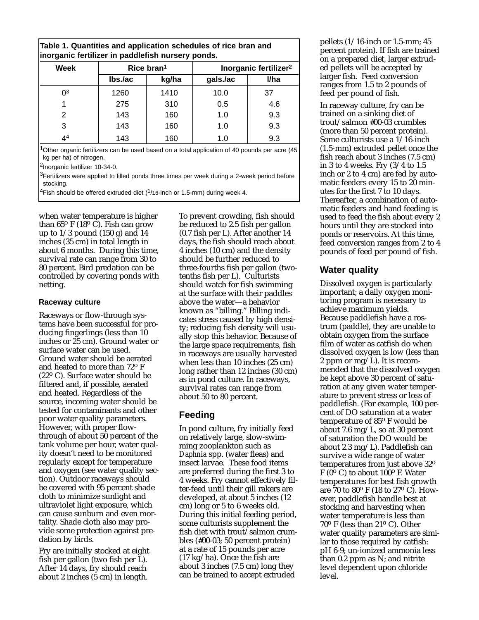|  | Table 1. Quantities and application schedules of rice bran and |  |  |
|--|----------------------------------------------------------------|--|--|
|  | inorganic fertilizer in paddlefish nursery ponds.              |  |  |

| Week    | Rice $bran1$ |       | Inorganic fertilizer <sup>2</sup> |      |  |
|---------|--------------|-------|-----------------------------------|------|--|
|         | $Ibs$ ./ac   | kg/ha | gals./ac                          | I/ha |  |
| $^{03}$ | 1260         | 1410  | 10.0                              | 37   |  |
|         | 275          | 310   | 0.5                               | 4.6  |  |
| 2       | 143          | 160   | 1.0                               | 9.3  |  |
| 3       | 143          | 160   | 1.0                               | 9.3  |  |
| 44      | 143          | 160   | 1.0                               | 9.3  |  |

<sup>1</sup>Other organic fertilizers can be used based on a total application of 40 pounds per acre (45 kg per ha) of nitrogen.

<sup>2</sup>Inorganic fertilizer 10-34-0.

<sup>3</sup>Fertilizers were applied to filled ponds three times per week during a 2-week period before stocking.

<sup>4</sup>Fish should be offered extruded diet (<sup>1</sup>/16-inch or 1.5-mm) during week 4.

when water temperature is higher than  $65^{\circ}$  F (18 $^{\circ}$  C). Fish can grow up to  $1/3$  pound  $(150 \text{ g})$  and  $14$ inches (35 cm) in total length in about 6 months. During this time, survival rate can range from 30 to 80 percent. Bird predation can be controlled by covering ponds with netting.

#### **Raceway culture**

Raceways or flow-through systems have been successful for producing fingerlings (less than 10 inches or 25 cm). Ground water or surface water can be used. Ground water should be aerated and heated to more than 72o F  $(22^{\circ} \text{ C})$ . Surface water should be filtered and, if possible, aerated and heated. Regardless of the source, incoming water should be tested for contaminants and other poor water quality parameters. However, with proper flowthrough of about 50 percent of the tank volume per hour, water quality doesn't need to be monitored regularly except for temperature and oxygen (see water quality section). Outdoor raceways should be covered with 95 percent shade cloth to minimize sunlight and ultraviolet light exposure, which can cause sunburn and even mortality. Shade cloth also may provide some protection against predation by birds.

Fry are initially stocked at eight fish per gallon (two fish per L). After 14 days, fry should reach about 2 inches (5 cm) in length.

To prevent crowding, fish should be reduced to 2.5 fish per gallon (0.7 fish per L). After another 14 days, the fish should reach about 4 inches (10 cm) and the density should be further reduced to three-fourths fish per gallon (twotenths fish per L). Culturists should watch for fish swimming at the surface with their paddles above the water—a behavior known as "billing." Billing indicates stress caused by high density; reducing fish density will usually stop this behavior. Because of the large space requirements, fish in raceways are usually harvested when less than 10 inches (25 cm) long rather than 12 inches (30 cm) as in pond culture. In raceways, survival rates can range from about 50 to 80 percent.

## **Feeding**

In pond culture, fry initially feed on relatively large, slow-swimming zooplankton such as *Daphnia* spp. (water fleas) and insect larvae. These food items are preferred during the first 3 to 4 weeks. Fry cannot effectively filter-feed until their gill rakers are developed, at about 5 inches (12 cm) long or 5 to 6 weeks old. During this initial feeding period, some culturists supplement the fish diet with trout/salmon crumbles (#00-03; 50 percent protein) at a rate of 15 pounds per acre (17 kg/ha). Once the fish are about 3 inches (7.5 cm) long they can be trained to accept extruded

pellets (1/16-inch or 1.5-mm; 45 percent protein). If fish are trained on a prepared diet, larger extruded pellets will be accepted by larger fish. Feed conversion ranges from 1.5 to 2 pounds of feed per pound of fish.

In raceway culture, fry can be trained on a sinking diet of trout/salmon #00-03 crumbles (more than 50 percent protein). Some culturists use a 1/16-inch (1.5-mm) extruded pellet once the fish reach about 3 inches (7.5 cm) in 3 to 4 weeks. Fry (3/4 to 1.5 inch or 2 to 4 cm) are fed by automatic feeders every 15 to 20 minutes for the first 7 to 10 days. Thereafter, a combination of automatic feeders and hand feeding is used to feed the fish about every 2 hours until they are stocked into ponds or reservoirs. At this time, feed conversion ranges from 2 to 4 pounds of feed per pound of fish.

## **Water quality**

Dissolved oxygen is particularly important; a daily oxygen monitoring program is necessary to achieve maximum yields. Because paddlefish have a rostrum (paddle), they are unable to obtain oxygen from the surface film of water as catfish do when dissolved oxygen is low (less than 2 ppm or mg/L). It is recommended that the dissolved oxygen be kept above 30 percent of saturation at any given water temperature to prevent stress or loss of paddlefish. (For example, 100 percent of DO saturation at a water temperature of 85<sup>o</sup> F would be about 7.6 mg/L, so at 30 percent of saturation the DO would be about 2.3 mg/L). Paddlefish can survive a wide range of water temperatures from just above 32o F ( $0^{\circ}$  C) to about 100 $^{\circ}$  F. Water temperatures for best fish growth are  $70$  to  $80^{\circ}$  F (18 to  $27^{\circ}$  C). However, paddlefish handle best at stocking and harvesting when water temperature is less than  $70^{\circ}$  F (less than 21 $^{\circ}$  C). Other water quality parameters are similar to those required by catfish: pH 6-9; un-ionized ammonia less than 0.2 ppm as N; and nitrite level dependent upon chloride level.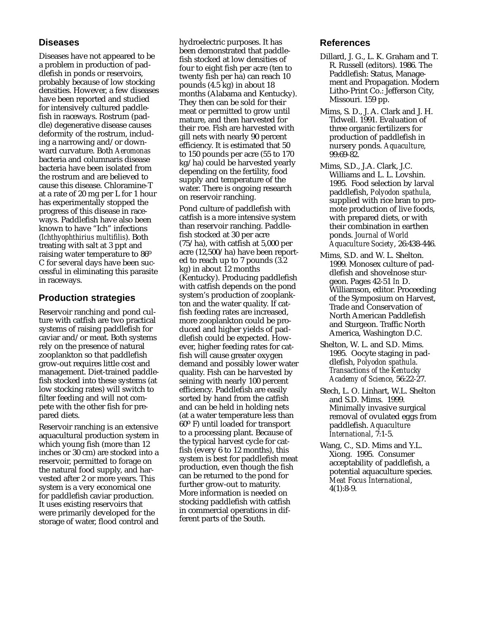## **Diseases**

Diseases have not appeared to be a problem in production of paddlefish in ponds or reservoirs, probably because of low stocking densities. However, a few diseases have been reported and studied for intensively cultured paddlefish in raceways. Rostrum (paddle) degenerative disease causes deformity of the rostrum, including a narrowing and/or downward curvature. Both *Aeromonas* bacteria and columnaris disease bacteria have been isolated from the rostrum and are believed to cause this disease. Chloramine-T at a rate of 20 mg per L for 1 hour has experimentally stopped the progress of this disease in raceways. Paddlefish have also been known to have "Ich" infections (*Ichthyophthirius multifilis*). Both treating with salt at 3 ppt and raising water temperature to 86<sup>o</sup> C for several days have been successful in eliminating this parasite in raceways.

### **Production strategies**

Reservoir ranching and pond culture with catfish are two practical systems of raising paddlefish for caviar and/or meat. Both systems rely on the presence of natural zooplankton so that paddlefish grow-out requires little cost and management. Diet-trained paddlefish stocked into these systems (at low stocking rates) will switch to filter feeding and will not compete with the other fish for prepared diets.

Reservoir ranching is an extensive aquacultural production system in which young fish (more than 12 inches or 30 cm) are stocked into a reservoir, permitted to forage on the natural food supply, and harvested after 2 or more years. This system is a very economical one for paddlefish caviar production. It uses existing reservoirs that were primarily developed for the storage of water, flood control and hydroelectric purposes. It has been demonstrated that paddlefish stocked at low densities of four to eight fish per acre (ten to twenty fish per ha) can reach 10 pounds (4.5 kg) in about 18 months (Alabama and Kentucky). They then can be sold for their meat or permitted to grow until mature, and then harvested for their roe. Fish are harvested with gill nets with nearly 90 percent efficiency. It is estimated that 50 to 150 pounds per acre (55 to 170 kg/ha) could be harvested yearly depending on the fertility, food supply and temperature of the water. There is ongoing research on reservoir ranching.

Pond culture of paddlefish with catfish is a more intensive system than reservoir ranching. Paddlefish stocked at 30 per acre (75/ha), with catfish at 5,000 per acre (12,500/ha) have been reported to reach up to 7 pounds (3.2 kg) in about 12 months (Kentucky). Producing paddlefish with catfish depends on the pond system's production of zooplankton and the water quality. If catfish feeding rates are increased, more zooplankton could be produced and higher yields of paddlefish could be expected. However, higher feeding rates for catfish will cause greater oxygen demand and possibly lower water quality. Fish can be harvested by seining with nearly 100 percent efficiency. Paddlefish are easily sorted by hand from the catfish and can be held in holding nets (at a water temperature less than 60o F) until loaded for transport to a processing plant. Because of the typical harvest cycle for catfish (every 6 to 12 months), this system is best for paddlefish meat production, even though the fish can be returned to the pond for further grow-out to maturity. More information is needed on stocking paddlefish with catfish in commercial operations in different parts of the South.

#### **References**

- Dillard, J. G., L. K. Graham and T. R. Russell (editors). 1986. The Paddlefish: Status, Management and Propagation. Modern Litho-Print Co.: Jefferson City, Missouri. 159 pp.
- Mims, S. D., J. A. Clark and J. H. Tidwell. 1991. Evaluation of three organic fertilizers for production of paddlefish in nursery ponds. *Aquaculture*, 99:69-82.
- Mims, S.D., J.A. Clark, J.C. Williams and L. L. Lovshin. 1995. Food selection by larval paddlefish, *Polyodon spathula*, supplied with rice bran to promote production of live foods, with prepared diets, or with their combination in earthen ponds. *Journal of World Aquaculture Society*, 26:438-446.
- Mims, S.D. and W. L. Shelton. 1999. Monosex culture of paddlefish and shovelnose sturgeon. Pages 42-51 *In* D. Williamson, editor. Proceeding of the Symposium on Harvest, Trade and Conservation of North American Paddlefish and Sturgeon. Traffic North America, Washington D.C.
- Shelton, W. L. and S.D. Mims. 1995. Oocyte staging in paddlefish, *Polyodon spathula*. *Transactions of the Kentucky Academy of Science*, 56:22-27.
- Stech, L. O. Linhart, W.L. Shelton and S.D. Mims. 1999. Minimally invasive surgical removal of ovulated eggs from paddlefish. *Aquaculture International*, 7:1-5.
- Wang, C., S.D. Mims and Y.L. Xiong. 1995. Consumer acceptability of paddlefish, a potential aquaculture species. *Meat Focus International*,  $4(1):8-9.$